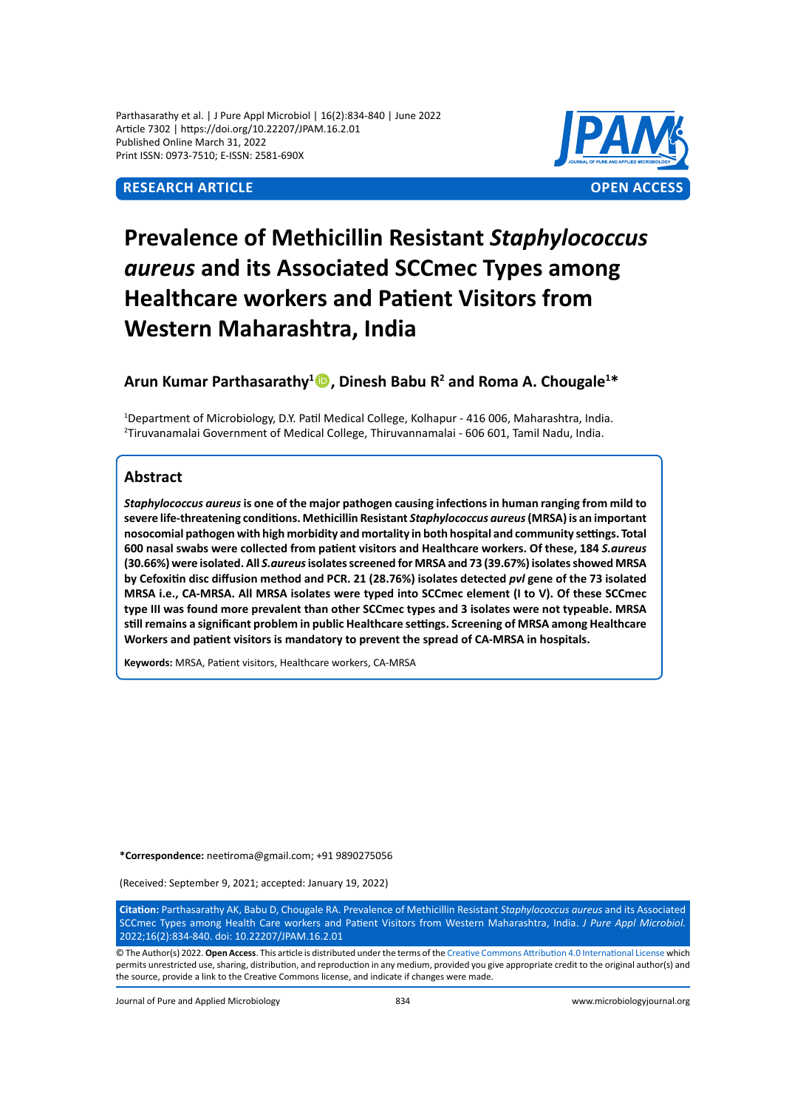Parthasarathy et al. | J Pure Appl Microbiol | 16(2):834-840 | June 2022 Article 7302 | https://doi.org/10.22207/JPAM.16.2.01 Published Online March 31, 2022 Print ISSN: 0973-7510; E-ISSN: 2581-690X



# **Prevalence of Methicillin Resistant** *Staphylococcus aureus* **and its Associated SCCmec Types among Healthcare workers and Patient Visitors from Western Maharashtra, India**

# Arun Kumar Parthasarathy<sup>1</sup><sup>1</sup>, Dinesh Babu R<sup>2</sup> and Roma A. Chougale<sup>1\*</sup>

1 Department of Microbiology, D.Y. Patil Medical College, Kolhapur - 416 006, Maharashtra, India. 2 Tiruvanamalai Government of Medical College, Thiruvannamalai - 606 601, Tamil Nadu, India.

# **Abstract**

*Staphylococcus aureus* **is one of the major pathogen causing infections in human ranging from mild to severe life-threatening conditions. Methicillin Resistant** *Staphylococcus aureus* **(MRSA) is an important nosocomial pathogen with high morbidity and mortality in both hospital and community settings. Total 600 nasal swabs were collected from patient visitors and Healthcare workers. Of these, 184** *S.aureus* **(30.66%) were isolated. All** *S.aureus* **isolates screened for MRSA and 73 (39.67%) isolates showed MRSA by Cefoxitin disc diffusion method and PCR. 21 (28.76%) isolates detected** *pvl* **gene of the 73 isolated MRSA i.e., CA-MRSA. All MRSA isolates were typed into SCCmec element (I to V). Of these SCCmec type III was found more prevalent than other SCCmec types and 3 isolates were not typeable. MRSA still remains a significant problem in public Healthcare settings. Screening of MRSA among Healthcare Workers and patient visitors is mandatory to prevent the spread of CA-MRSA in hospitals.** 

**Keywords:** MRSA, Patient visitors, Healthcare workers, CA-MRSA

**\*Correspondence:** neetiroma@gmail.com; +91 9890275056

(Received: September 9, 2021; accepted: January 19, 2022)

**Citation:** Parthasarathy AK, Babu D, Chougale RA. Prevalence of Methicillin Resistant *Staphylococcus aureus* and its Associated SCCmec Types among Health Care workers and Patient Visitors from Western Maharashtra, India. *J Pure Appl Microbiol.*  2022;16(2):834-840. doi: 10.22207/JPAM.16.2.01

© The Author(s) 2022. **Open Access**. This article is distributed under the terms of the [Creative Commons Attribution 4.0 International License](https://creativecommons.org/licenses/by/4.0/) which permits unrestricted use, sharing, distribution, and reproduction in any medium, provided you give appropriate credit to the original author(s) and the source, provide a link to the Creative Commons license, and indicate if changes were made.

Journal of Pure and Applied Microbiology 834 www.microbiologyjournal.org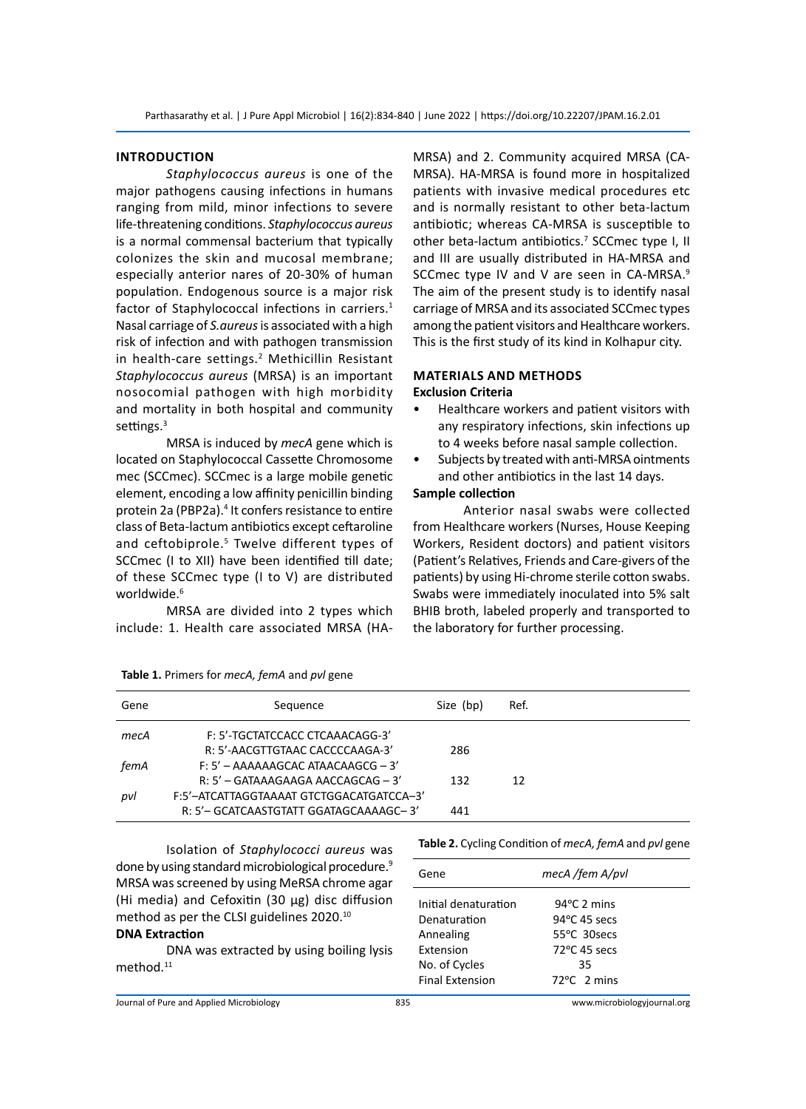# **Introduction**

*Staphylococcus aureus* is one of the major pathogens causing infections in humans ranging from mild, minor infections to severe life-threatening conditions. *Staphylococcus aureus* is a normal commensal bacterium that typically colonizes the skin and mucosal membrane; especially anterior nares of 20-30% of human population. Endogenous source is a major risk factor of Staphylococcal infections in carriers.<sup>1</sup> Nasal carriage of *S.aureus* is associated with a high risk of infection and with pathogen transmission in health-care settings.<sup>2</sup> Methicillin Resistant *Staphylococcus aureus* (MRSA) is an important nosocomial pathogen with high morbidity and mortality in both hospital and community settings.<sup>3</sup>

MRSA is induced by *mecA* gene which is located on Staphylococcal Cassette Chromosome mec (SCCmec). SCCmec is a large mobile genetic element, encoding a low affinity penicillin binding protein 2a (PBP2a).<sup>4</sup> It confers resistance to entire class of Beta-lactum antibiotics except ceftaroline and ceftobiprole.<sup>5</sup> Twelve different types of SCCmec (I to XII) have been identified till date; of these SCCmec type (I to V) are distributed worldwide.<sup>6</sup>

MRSA are divided into 2 types which include: 1. Health care associated MRSA (HA-

MRSA) and 2. Community acquired MRSA (CA-MRSA). HA-MRSA is found more in hospitalized patients with invasive medical procedures etc and is normally resistant to other beta-lactum antibiotic; whereas CA-MRSA is susceptible to other beta-lactum antibiotics.<sup>7</sup> SCCmec type I, II and III are usually distributed in HA-MRSA and SCCmec type IV and V are seen in CA-MRSA.<sup>9</sup> The aim of the present study is to identify nasal carriage of MRSA and its associated SCCmec types among the patient visitors and Healthcare workers. This is the first study of its kind in Kolhapur city.

# **Materials and Methods Exclusion Criteria**

- Healthcare workers and patient visitors with any respiratory infections, skin infections up to 4 weeks before nasal sample collection.
- Subjects by treated with anti-MRSA ointments and other antibiotics in the last 14 days.

# **Sample collection**

Anterior nasal swabs were collected from Healthcare workers (Nurses, House Keeping Workers, Resident doctors) and patient visitors (Patient's Relatives, Friends and Care-givers of the patients) by using Hi-chrome sterile cotton swabs. Swabs were immediately inoculated into 5% salt BHIB broth, labeled properly and transported to the laboratory for further processing.

| Gene | Sequence                                 | Size (bp) | Ref. |
|------|------------------------------------------|-----------|------|
| mecA | F: 5'-TGCTATCCACC CTCAAACAGG-3'          |           |      |
|      | R: 5'-AACGTTGTAAC CACCCCAAGA-3'          | 286       |      |
| femA | $F: 5'$ - AAAAAAGCAC ATAACAAGCG - 3'     |           |      |
|      | R: 5' - GATAAAGAAGA AACCAGCAG - 3'       | 132       | 12   |
| pvl  | F:5'-ATCATTAGGTAAAAT GTCTGGACATGATCCA-3' |           |      |
|      | R: 5'- GCATCAASTGTATT GGATAGCAAAAGC-3'   | 441       |      |

|  | Table 1. Primers for mecA, femA and pvl gene |  |  |  |  |  |  |
|--|----------------------------------------------|--|--|--|--|--|--|
|--|----------------------------------------------|--|--|--|--|--|--|

Isolation of *Staphylococci aureus* was done by using standard microbiological procedure.<sup>9</sup> MRSA was screened by using MeRSA chrome agar (Hi media) and Cefoxitin (30 µg) disc diffusion method as per the CLSI guidelines 2020.10

# **DNA Extraction**

DNA was extracted by using boiling lysis method.<sup>11</sup>

**Table 2.** Cycling Condition of *mecA, femA* and *pvl* gene

| Gene                                                                                                      | mecA /fem A/pvl                                                                                            |  |
|-----------------------------------------------------------------------------------------------------------|------------------------------------------------------------------------------------------------------------|--|
| Initial denaturation<br>Denaturation<br>Annealing<br>Extension<br>No. of Cycles<br><b>Final Extension</b> | $94^{\circ}$ C 2 mins<br>94°C 45 secs<br>55°C 30secs<br>72°C 45 secs<br>35<br>$72^{\circ}$ C $\sigma$ mins |  |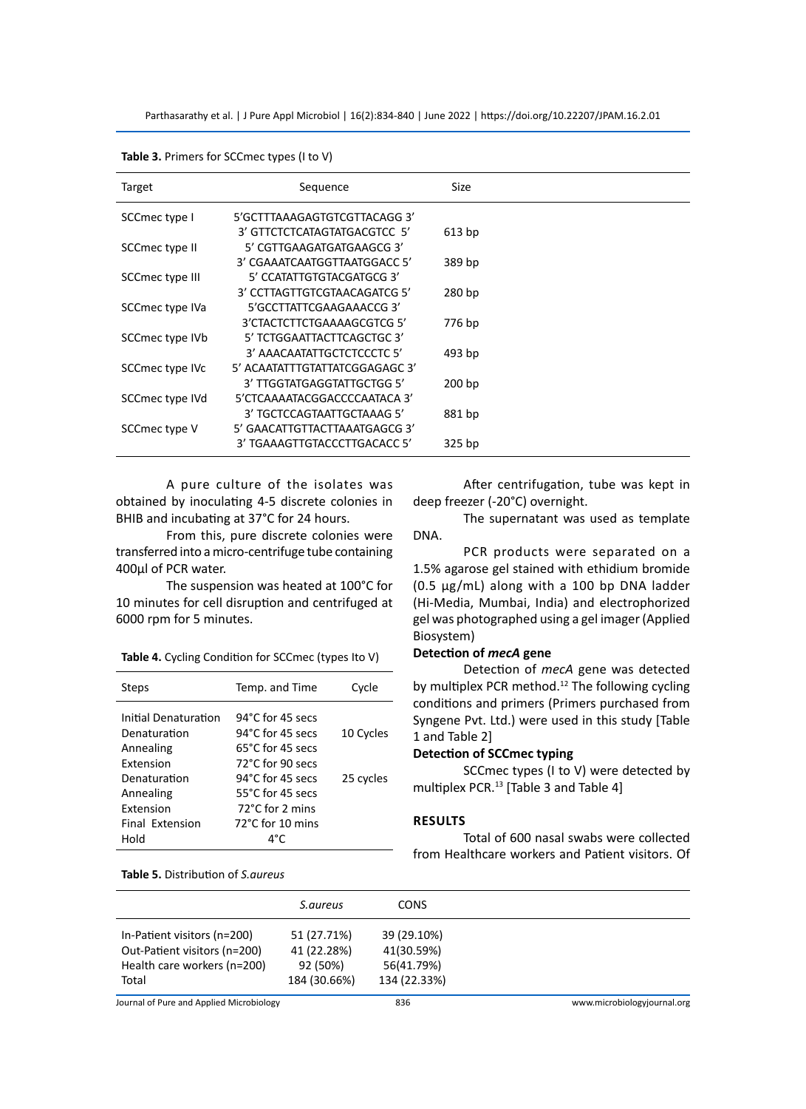Parthasarathy et al. | J Pure Appl Microbiol | 16(2):834-840 | June 2022 | https://doi.org/10.22207/JPAM.16.2.01

| Target          | Sequence                       | Size              |  |
|-----------------|--------------------------------|-------------------|--|
| SCCmec type I   | 5'GCTTTAAAGAGTGTCGTTACAGG3'    |                   |  |
|                 | 3' GTTCTCTCATAGTATGACGTCC 5'   | 613 bp            |  |
| SCCmec type II  | 5' CGTTGAAGATGATGAAGCG 3'      |                   |  |
|                 | 3' CGAAATCAATGGTTAATGGACC 5'   | 389 bp            |  |
| SCCmec type III | 5' CCATATTGTGTACGATGCG 3'      |                   |  |
|                 | 3' CCTTAGTTGTCGTAACAGATCG 5'   | 280 bp            |  |
| SCCmec type IVa | 5'GCCTTATTCGAAGAAACCG3'        |                   |  |
|                 | 3'CTACTCTTCTGAAAAGCGTCG 5'     | 776 bp            |  |
| SCCmec type IVb | 5' TCTGGAATTACTTCAGCTGC 3'     |                   |  |
|                 | 3' AAACAATATTGCTCTCCCTC 5'     | 493 bp            |  |
| SCCmec type IVc | 5' ACAATATTTGTATTATCGGAGAGC 3' |                   |  |
|                 | 3' TTGGTATGAGGTATTGCTGG 5'     | 200 <sub>bp</sub> |  |
| SCCmec type IVd | 5'CTCAAAATACGGACCCCAATACA 3'   |                   |  |
|                 | 3' TGCTCCAGTAATTGCTAAAG 5'     | 881 bp            |  |
| SCCmec type V   | 5' GAACATTGTTACTTAAATGAGCG 3'  |                   |  |
|                 | 3' TGAAAGTTGTACCCTTGACACC 5'   | 325 bp            |  |

**Table 3.** Primers for SCCmec types (I to V)

A pure culture of the isolates was obtained by inoculating 4-5 discrete colonies in BHIB and incubating at 37°C for 24 hours.

From this, pure discrete colonies were transferred into a micro-centrifuge tube containing 400μl of PCR water.

The suspension was heated at 100°C for 10 minutes for cell disruption and centrifuged at 6000 rpm for 5 minutes.

**Table 4.** Cycling Condition for SCCmec (types Ito V)

| Steps                                | Temp. and Time                       | Cycle     |
|--------------------------------------|--------------------------------------|-----------|
| Initial Denaturation<br>Denaturation | 94°C for 45 secs<br>94°C for 45 secs | 10 Cycles |
| Annealing                            | 65°C for 45 secs                     |           |
| Extension                            | 72°C for 90 secs                     |           |
| Denaturation                         | 94°C for 45 secs                     | 25 cycles |
| Annealing                            | 55°C for 45 secs                     |           |
| <b>Extension</b>                     | 72°C for 2 mins                      |           |
| Final Extension                      | $72^{\circ}$ C for 10 mins           |           |
| Hold                                 | ⊿°∩                                  |           |

**Table 5.** Distribution of *S.aureus*

After centrifugation, tube was kept in deep freezer (-20°C) overnight.

The supernatant was used as template DNA.

PCR products were separated on a 1.5% agarose gel stained with ethidium bromide (0.5 µg/mL) along with a 100 bp DNA ladder (Hi-Media, Mumbai, India) and electrophorized gel was photographed using a gel imager (Applied Biosystem)

# **Detection of** *mecA* **gene**

Detection of *mecA* gene was detected by multiplex PCR method.<sup>12</sup> The following cycling conditions and primers (Primers purchased from Syngene Pvt. Ltd.) were used in this study [Table 1 and Table 2]

# **Detection of SCCmec typing**

SCCmec types (I to V) were detected by multiplex PCR.<sup>13</sup> [Table 3 and Table 4]

#### **Results**

Total of 600 nasal swabs were collected from Healthcare workers and Patient visitors. Of

|                                          | S.aureus     | <b>CONS</b>  |                             |
|------------------------------------------|--------------|--------------|-----------------------------|
| In-Patient visitors (n=200)              | 51 (27.71%)  | 39 (29.10%)  |                             |
| Out-Patient visitors (n=200)             | 41 (22.28%)  | 41(30.59%)   |                             |
| Health care workers (n=200)              | 92 (50%)     | 56(41.79%)   |                             |
| Total                                    | 184 (30.66%) | 134 (22.33%) |                             |
| Journal of Pure and Applied Microbiology |              | 836          | www.microbiologyjournal.org |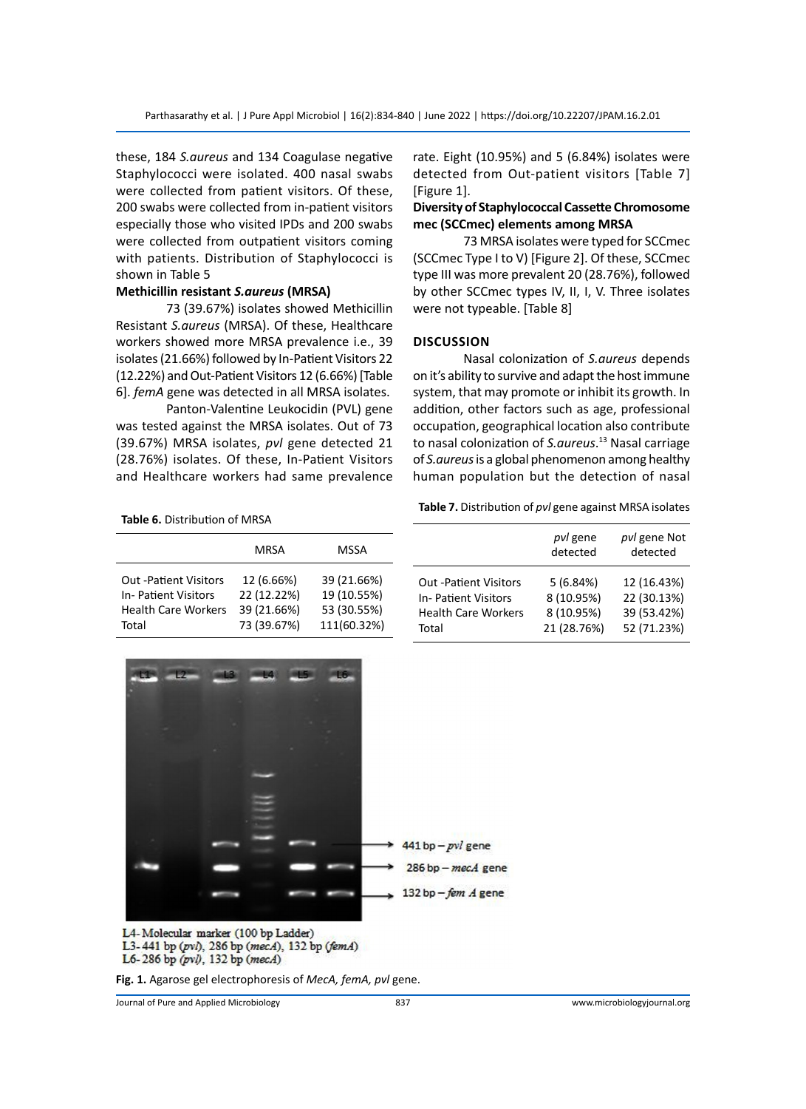these, 184 *S.aureus* and 134 Coagulase negative Staphylococci were isolated. 400 nasal swabs were collected from patient visitors. Of these, 200 swabs were collected from in-patient visitors especially those who visited IPDs and 200 swabs were collected from outpatient visitors coming with patients. Distribution of Staphylococci is shown in Table 5

# **Methicillin resistant** *S.aureus* **(MRSA)**

73 (39.67%) isolates showed Methicillin Resistant *S.aureus* (MRSA). Of these, Healthcare workers showed more MRSA prevalence i.e., 39 isolates (21.66%) followed by In-Patient Visitors 22 (12.22%) and Out-Patient Visitors 12 (6.66%) [Table 6]. *femA* gene was detected in all MRSA isolates.

Panton-Valentine Leukocidin (PVL) gene was tested against the MRSA isolates. Out of 73 (39.67%) MRSA isolates, *pvl* gene detected 21 (28.76%) isolates. Of these, In-Patient Visitors and Healthcare workers had same prevalence rate. Eight (10.95%) and 5 (6.84%) isolates were detected from Out-patient visitors [Table 7] [Figure 1].

# **Diversity of Staphylococcal Cassette Chromosome mec (SCCmec) elements among MRSA**

73 MRSA isolates were typed for SCCmec (SCCmec Type I to V) [Figure 2]. Of these, SCCmec type III was more prevalent 20 (28.76%), followed by other SCCmec types IV, II, I, V. Three isolates were not typeable. [Table 8]

# **Discussion**

Nasal colonization of *S.aureus* depends on it's ability to survive and adapt the host immune system, that may promote or inhibit its growth. In addition, other factors such as age, professional occupation, geographical location also contribute to nasal colonization of *S.aureus*. 13 Nasal carriage of *S.aureus* is a global phenomenon among healthy human population but the detection of nasal

**Table 6.** Distribution of MRSA

|                              | MRSA        | MSSA        |
|------------------------------|-------------|-------------|
| <b>Out -Patient Visitors</b> | 12 (6.66%)  | 39 (21.66%) |
| <b>In-Patient Visitors</b>   | 22 (12.22%) | 19 (10.55%) |
| <b>Health Care Workers</b>   | 39 (21.66%) | 53 (30.55%) |
| Total                        | 73 (39.67%) | 111(60.32%) |

|                              | pvl gene<br>detected | pvl gene Not<br>detected |
|------------------------------|----------------------|--------------------------|
| <b>Out -Patient Visitors</b> | 5(6.84%)             | 12 (16.43%)              |
| <b>In-Patient Visitors</b>   | 8 (10.95%)           | 22 (30.13%)              |
| <b>Health Care Workers</b>   | 8 (10.95%)           | 39 (53.42%)              |
| Total                        | 21 (28.76%)          | 52 (71.23%)              |



L3-441 bp (pvl), 286 bp (mecA), 132 bp (femA) L6-286 bp (pvl), 132 bp (mecA)

**Fig. 1.** Agarose gel electrophoresis of *MecA, femA, pvl* gene.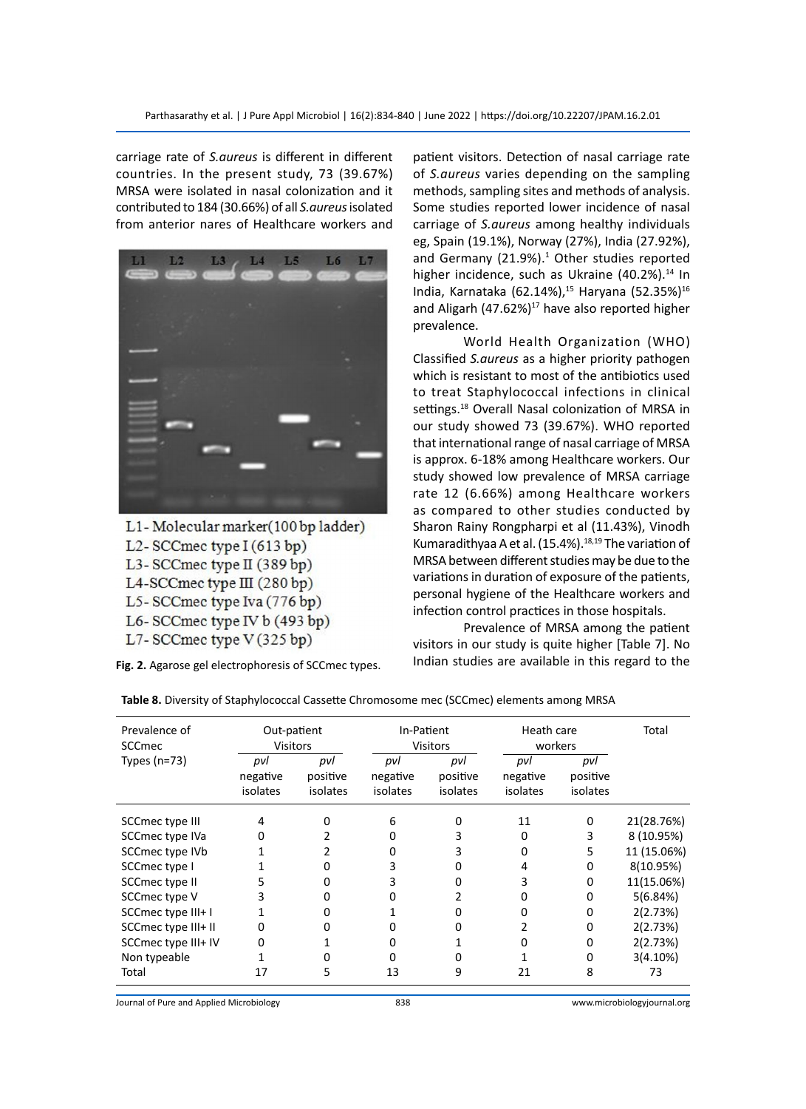carriage rate of *S.aureus* is different in different countries. In the present study, 73 (39.67%) MRSA were isolated in nasal colonization and it contributed to 184 (30.66%) of all *S.aureus* isolated from anterior nares of Healthcare workers and



L1-Molecular marker(100 bp ladder) L2-SCCmec type  $I(613 bp)$ L3-SCCmec type II (389 bp) L4-SCCmec type III (280 bp) L5-SCCmec type Iva (776 bp) L6-SCCmec type IV b (493 bp)

L7-SCCmec type V(325 bp)

**Fig. 2.** Agarose gel electrophoresis of SCCmec types.

patient visitors. Detection of nasal carriage rate of *S.aureus* varies depending on the sampling methods, sampling sites and methods of analysis. Some studies reported lower incidence of nasal carriage of *S.aureus* among healthy individuals eg, Spain (19.1%), Norway (27%), India (27.92%), and Germany (21.9%).<sup>1</sup> Other studies reported higher incidence, such as Ukraine (40.2%).<sup>14</sup> In India, Karnataka (62.14%),<sup>15</sup> Haryana (52.35%)<sup>16</sup> and Aligarh  $(47.62\%)$ <sup>17</sup> have also reported higher prevalence.

World Health Organization (WHO) Classified *S.aureus* as a higher priority pathogen which is resistant to most of the antibiotics used to treat Staphylococcal infections in clinical settings.<sup>18</sup> Overall Nasal colonization of MRSA in our study showed 73 (39.67%). WHO reported that international range of nasal carriage of MRSA is approx. 6-18% among Healthcare workers. Our study showed low prevalence of MRSA carriage rate 12 (6.66%) among Healthcare workers as compared to other studies conducted by Sharon Rainy Rongpharpi et al (11.43%), Vinodh Kumaradithyaa A et al.  $(15.4\%)$ .<sup>18,19</sup> The variation of MRSA between different studies may be due to the variations in duration of exposure of the patients, personal hygiene of the Healthcare workers and infection control practices in those hospitals.

Prevalence of MRSA among the patient visitors in our study is quite higher [Table 7]. No Indian studies are available in this regard to the

| Prevalence of<br><b>SCCmec</b> | Out-patient<br><b>Visitors</b> |                             | In-Patient<br><b>Visitors</b> |                             | Heath care<br>workers       |                             | Total       |
|--------------------------------|--------------------------------|-----------------------------|-------------------------------|-----------------------------|-----------------------------|-----------------------------|-------------|
| Types $(n=73)$                 | pvl<br>negative<br>isolates    | pvl<br>positive<br>isolates | pvl<br>negative<br>isolates   | pvl<br>positive<br>isolates | pvl<br>negative<br>isolates | pvl<br>positive<br>isolates |             |
| SCCmec type III                | 4                              | O                           | 6                             | O                           | 11                          | 0                           | 21(28.76%)  |
| SCCmec type IVa                |                                |                             | o                             | 3                           | o                           | 3                           | 8 (10.95%)  |
| SCCmec type IVb                |                                |                             | O                             |                             | Ω                           | 5                           | 11 (15.06%) |
| SCCmec type I                  |                                |                             | 3                             |                             | 4                           | O                           | 8(10.95%)   |
| SCCmec type II                 | 5                              |                             | 3                             |                             |                             | 0                           | 11(15.06%)  |
| SCCmec type V                  | 3                              |                             |                               |                             | Ω                           | 0                           | 5(6.84%)    |
| SCCmec type III+ I             |                                |                             |                               |                             | Ω                           | 0                           | 2(2.73%)    |
| SCCmec type III+ II            |                                |                             |                               |                             |                             | 0                           | 2(2.73%)    |
| SCCmec type III+ IV            |                                |                             |                               |                             | Ω                           | o                           | 2(2.73%)    |
| Non typeable                   |                                | O                           | o                             | O                           |                             | 0                           | 3(4.10%)    |
| Total                          | 17                             | 5                           | 13                            | 9                           | 21                          | 8                           | 73          |

**Table 8.** Diversity of Staphylococcal Cassette Chromosome mec (SCCmec) elements among MRSA

Journal of Pure and Applied Microbiology 838 www.microbiologyjournal.org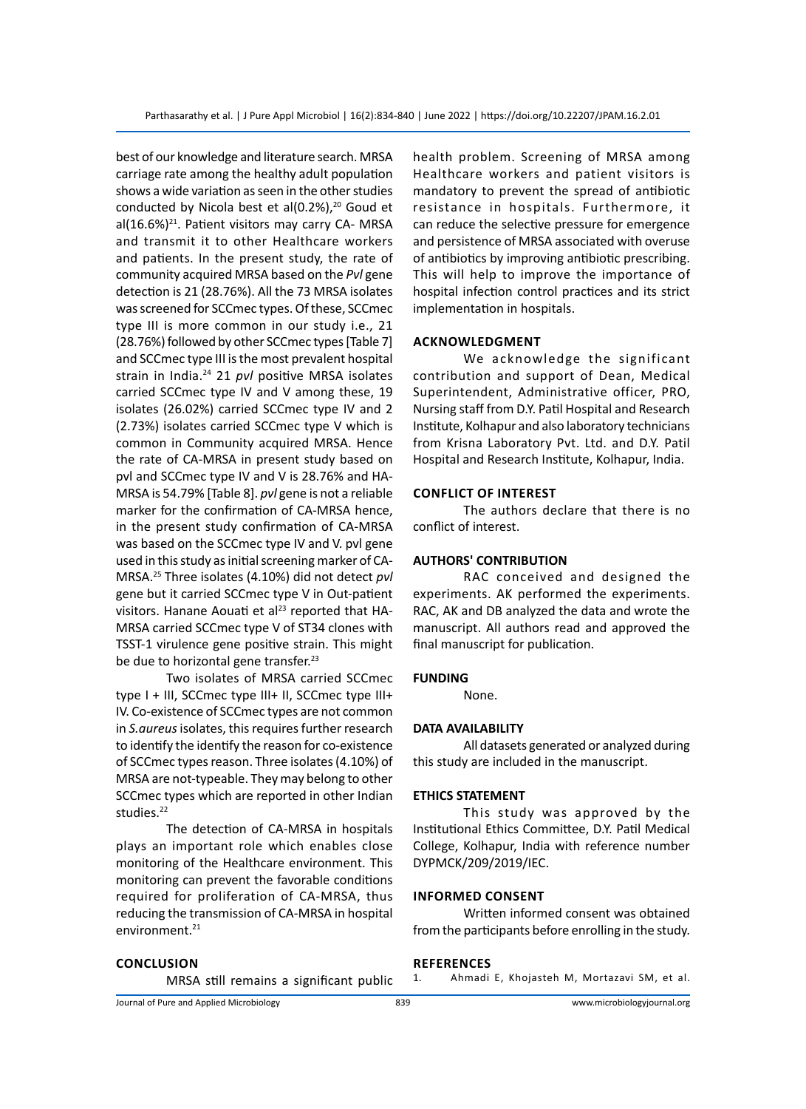best of our knowledge and literature search. MRSA carriage rate among the healthy adult population shows a wide variation as seen in the other studies conducted by Nicola best et al(0.2%), $^{20}$  Goud et al $(16.6%)<sup>21</sup>$ . Patient visitors may carry CA- MRSA and transmit it to other Healthcare workers and patients. In the present study, the rate of community acquired MRSA based on the *Pvl* gene detection is 21 (28.76%). All the 73 MRSA isolates was screened for SCCmec types. Of these, SCCmec type III is more common in our study i.e., 21 (28.76%) followed by other SCCmec types [Table 7] and SCCmec type III is the most prevalent hospital strain in India.24 21 *pvl* positive MRSA isolates carried SCCmec type IV and V among these, 19 isolates (26.02%) carried SCCmec type IV and 2 (2.73%) isolates carried SCCmec type V which is common in Community acquired MRSA. Hence the rate of CA-MRSA in present study based on pvl and SCCmec type IV and V is 28.76% and HA-MRSA is 54.79% [Table 8]. *pvl* gene is not a reliable marker for the confirmation of CA-MRSA hence, in the present study confirmation of CA-MRSA was based on the SCCmec type IV and V. pvl gene used in this study as initial screening marker of CA-MRSA.25 Three isolates (4.10%) did not detect *pvl*  gene but it carried SCCmec type V in Out-patient visitors. Hanane Aouati et al<sup>23</sup> reported that HA-MRSA carried SCCmec type V of ST34 clones with TSST-1 virulence gene positive strain. This might be due to horizontal gene transfer.<sup>23</sup>

Two isolates of MRSA carried SCCmec type I + III, SCCmec type III+ II, SCCmec type III+ IV. Co-existence of SCCmec types are not common in *S.aureus* isolates, this requires further research to identify the identify the reason for co-existence of SCCmec types reason. Three isolates (4.10%) of MRSA are not-typeable. They may belong to other SCCmec types which are reported in other Indian studies.<sup>22</sup>

The detection of CA-MRSA in hospitals plays an important role which enables close monitoring of the Healthcare environment. This monitoring can prevent the favorable conditions required for proliferation of CA-MRSA, thus reducing the transmission of CA-MRSA in hospital environment.<sup>21</sup>

**Conclusion**

MRSA still remains a significant public

health problem. Screening of MRSA among Healthcare workers and patient visitors is mandatory to prevent the spread of antibiotic resistance in hospitals. Furthermore, it can reduce the selective pressure for emergence and persistence of MRSA associated with overuse of antibiotics by improving antibiotic prescribing. This will help to improve the importance of hospital infection control practices and its strict implementation in hospitals.

# **Acknowledgment**

We acknowledge the significant contribution and support of Dean, Medical Superintendent, Administrative officer, PRO, Nursing staff from D.Y. Patil Hospital and Research Institute, Kolhapur and also laboratory technicians from Krisna Laboratory Pvt. Ltd. and D.Y. Patil Hospital and Research Institute, Kolhapur, India.

# **Conflict of Interest**

The authors declare that there is no conflict of interest.

## **AUTHORS' CONTRIBUTION**

RAC conceived and designed the experiments. AK performed the experiments. RAC, AK and DB analyzed the data and wrote the manuscript. All authors read and approved the final manuscript for publication.

#### **FUNDING**

None.

# **DATA AVAILABILITY**

All datasets generated or analyzed during this study are included in the manuscript.

# **ETHICS STATEMENT**

This study was approved by the Institutional Ethics Committee, D.Y. Patil Medical College, Kolhapur, India with reference number DYPMCK/209/2019/IEC.

### **Informed Consent**

Written informed consent was obtained from the participants before enrolling in the study.

### **References**

1. Ahmadi E, Khojasteh M, Mortazavi SM, et al.